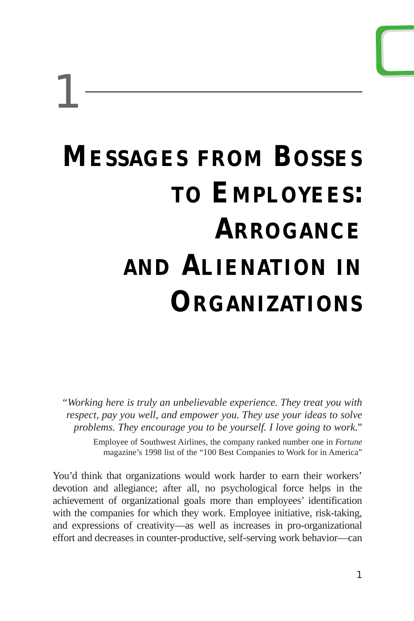# 1

# **MESSAGES FROM BOSSES TO EMPLOYEES: ARROGANCE AND ALIENATION IN ORGANIZATIONS**

*"Working here is truly an unbelievable experience. They treat you with respect, pay you well, and empower you. They use your ideas to solve problems. They encourage you to be yourself. I love going to work."*

> Employee of Southwest Airlines, the company ranked number one in *Fortune* magazine's 1998 list of the "100 Best Companies to Work for in America"

You'd think that organizations would work harder to earn their workers' devotion and allegiance; after all, no psychological force helps in the achievement of organizational goals more than employees' identification with the companies for which they work. Employee initiative, risk-taking, and expressions of creativity—as well as increases in pro-organizational effort and decreases in counter-productive, self-serving work behavior—can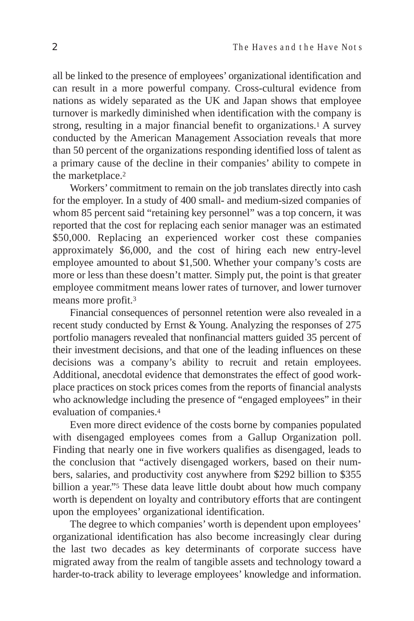all be linked to the presence of employees' organizational identification and can result in a more powerful company. Cross-cultural evidence from nations as widely separated as the UK and Japan shows that employee turnover is markedly diminished when identification with the company is strong, resulting in a major financial benefit to organizations.1 A survey conducted by the American Management Association reveals that more than 50 percent of the organizations responding identified loss of talent as a primary cause of the decline in their companies' ability to compete in the marketplace.2

Workers' commitment to remain on the job translates directly into cash for the employer. In a study of 400 small- and medium-sized companies of whom 85 percent said "retaining key personnel" was a top concern, it was reported that the cost for replacing each senior manager was an estimated \$50,000. Replacing an experienced worker cost these companies approximately \$6,000, and the cost of hiring each new entry-level employee amounted to about \$1,500. Whether your company's costs are more or less than these doesn't matter. Simply put, the point is that greater employee commitment means lower rates of turnover, and lower turnover means more profit.3

Financial consequences of personnel retention were also revealed in a recent study conducted by Ernst & Young. Analyzing the responses of 275 portfolio managers revealed that nonfinancial matters guided 35 percent of their investment decisions, and that one of the leading influences on these decisions was a company's ability to recruit and retain employees. Additional, anecdotal evidence that demonstrates the effect of good workplace practices on stock prices comes from the reports of financial analysts who acknowledge including the presence of "engaged employees" in their evaluation of companies.4

Even more direct evidence of the costs borne by companies populated with disengaged employees comes from a Gallup Organization poll. Finding that nearly one in five workers qualifies as disengaged, leads to the conclusion that "actively disengaged workers, based on their numbers, salaries, and productivity cost anywhere from \$292 billion to \$355 billion a year."5 These data leave little doubt about how much company worth is dependent on loyalty and contributory efforts that are contingent upon the employees' organizational identification.

The degree to which companies' worth is dependent upon employees' organizational identification has also become increasingly clear during the last two decades as key determinants of corporate success have migrated away from the realm of tangible assets and technology toward a harder-to-track ability to leverage employees' knowledge and information.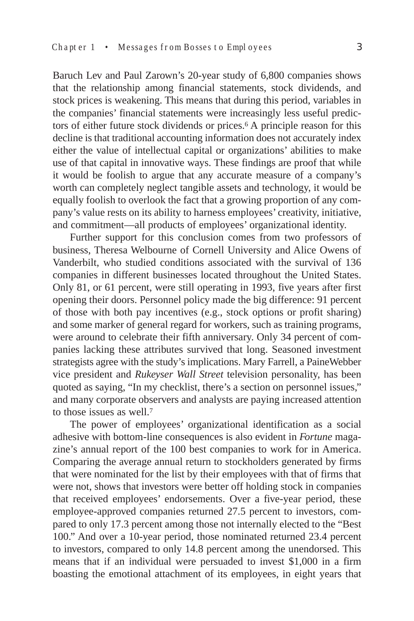Baruch Lev and Paul Zarown's 20-year study of 6,800 companies shows that the relationship among financial statements, stock dividends, and stock prices is weakening. This means that during this period, variables in the companies' financial statements were increasingly less useful predictors of either future stock dividends or prices.<sup>6</sup> A principle reason for this decline is that traditional accounting information does not accurately index either the value of intellectual capital or organizations' abilities to make use of that capital in innovative ways. These findings are proof that while it would be foolish to argue that any accurate measure of a company's worth can completely neglect tangible assets and technology, it would be equally foolish to overlook the fact that a growing proportion of any company's value rests on its ability to harness employees' creativity, initiative, and commitment—all products of employees' organizational identity.

Further support for this conclusion comes from two professors of business, Theresa Welbourne of Cornell University and Alice Owens of Vanderbilt, who studied conditions associated with the survival of 136 companies in different businesses located throughout the United States. Only 81, or 61 percent, were still operating in 1993, five years after first opening their doors. Personnel policy made the big difference: 91 percent of those with both pay incentives (e.g., stock options or profit sharing) and some marker of general regard for workers, such as training programs, were around to celebrate their fifth anniversary. Only 34 percent of companies lacking these attributes survived that long. Seasoned investment strategists agree with the study's implications. Mary Farrell, a PaineWebber vice president and *Rukeyser Wall Street* television personality, has been quoted as saying, "In my checklist, there's a section on personnel issues," and many corporate observers and analysts are paying increased attention to those issues as well.7

The power of employees' organizational identification as a social adhesive with bottom-line consequences is also evident in *Fortune* magazine's annual report of the 100 best companies to work for in America. Comparing the average annual return to stockholders generated by firms that were nominated for the list by their employees with that of firms that were not, shows that investors were better off holding stock in companies that received employees' endorsements. Over a five-year period, these employee-approved companies returned 27.5 percent to investors, compared to only 17.3 percent among those not internally elected to the "Best 100." And over a 10-year period, those nominated returned 23.4 percent to investors, compared to only 14.8 percent among the unendorsed. This means that if an individual were persuaded to invest \$1,000 in a firm boasting the emotional attachment of its employees, in eight years that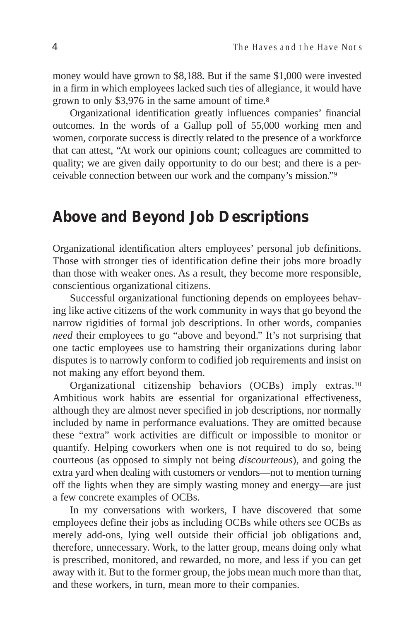money would have grown to \$8,188. But if the same \$1,000 were invested in a firm in which employees lacked such ties of allegiance, it would have grown to only \$3,976 in the same amount of time.8

Organizational identification greatly influences companies' financial outcomes. In the words of a Gallup poll of 55,000 working men and women, corporate success is directly related to the presence of a workforce that can attest, "At work our opinions count; colleagues are committed to quality; we are given daily opportunity to do our best; and there is a perceivable connection between our work and the company's mission."9

# **Above and Beyond Job Descriptions**

Organizational identification alters employees' personal job definitions. Those with stronger ties of identification define their jobs more broadly than those with weaker ones. As a result, they become more responsible, conscientious organizational citizens.

Successful organizational functioning depends on employees behaving like active citizens of the work community in ways that go beyond the narrow rigidities of formal job descriptions. In other words, companies *need* their employees to go "above and beyond." It's not surprising that one tactic employees use to hamstring their organizations during labor disputes is to narrowly conform to codified job requirements and insist on not making any effort beyond them.

Organizational citizenship behaviors (OCBs) imply extras.10 Ambitious work habits are essential for organizational effectiveness, although they are almost never specified in job descriptions, nor normally included by name in performance evaluations. They are omitted because these "extra" work activities are difficult or impossible to monitor or quantify. Helping coworkers when one is not required to do so, being courteous (as opposed to simply not being *discourteous*), and going the extra yard when dealing with customers or vendors—not to mention turning off the lights when they are simply wasting money and energy—are just a few concrete examples of OCBs.

In my conversations with workers, I have discovered that some employees define their jobs as including OCBs while others see OCBs as merely add-ons, lying well outside their official job obligations and, therefore, unnecessary. Work, to the latter group, means doing only what is prescribed, monitored, and rewarded, no more, and less if you can get away with it. But to the former group, the jobs mean much more than that, and these workers, in turn, mean more to their companies.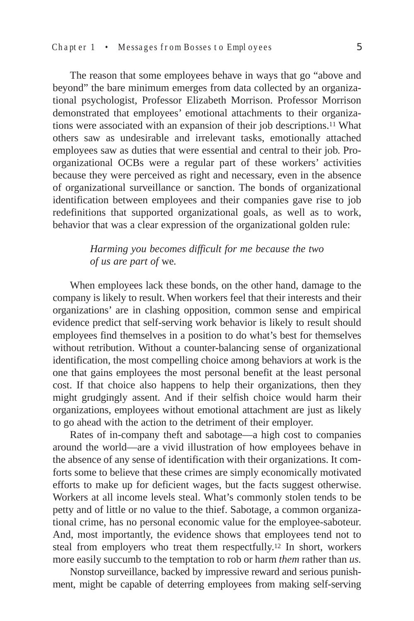#### Chapter 1 • Messages from Bosses to Employees 5

The reason that some employees behave in ways that go "above and beyond" the bare minimum emerges from data collected by an organizational psychologist, Professor Elizabeth Morrison. Professor Morrison demonstrated that employees' emotional attachments to their organizations were associated with an expansion of their job descriptions.11 What others saw as undesirable and irrelevant tasks, emotionally attached employees saw as duties that were essential and central to their job. Proorganizational OCBs were a regular part of these workers' activities because they were perceived as right and necessary, even in the absence of organizational surveillance or sanction. The bonds of organizational identification between employees and their companies gave rise to job redefinitions that supported organizational goals, as well as to work, behavior that was a clear expression of the organizational golden rule:

#### *Harming you becomes difficult for me because the two of us are part of* we*.*

When employees lack these bonds, on the other hand, damage to the company is likely to result. When workers feel that their interests and their organizations' are in clashing opposition, common sense and empirical evidence predict that self-serving work behavior is likely to result should employees find themselves in a position to do what's best for themselves without retribution. Without a counter-balancing sense of organizational identification, the most compelling choice among behaviors at work is the one that gains employees the most personal benefit at the least personal cost. If that choice also happens to help their organizations, then they might grudgingly assent. And if their selfish choice would harm their organizations, employees without emotional attachment are just as likely to go ahead with the action to the detriment of their employer.

Rates of in-company theft and sabotage—a high cost to companies around the world—are a vivid illustration of how employees behave in the absence of any sense of identification with their organizations. It comforts some to believe that these crimes are simply economically motivated efforts to make up for deficient wages, but the facts suggest otherwise. Workers at all income levels steal. What's commonly stolen tends to be petty and of little or no value to the thief. Sabotage, a common organizational crime, has no personal economic value for the employee-saboteur. And, most importantly, the evidence shows that employees tend not to steal from employers who treat them respectfully.12 In short, workers more easily succumb to the temptation to rob or harm *them* rather than *us.*

Nonstop surveillance, backed by impressive reward and serious punishment, might be capable of deterring employees from making self-serving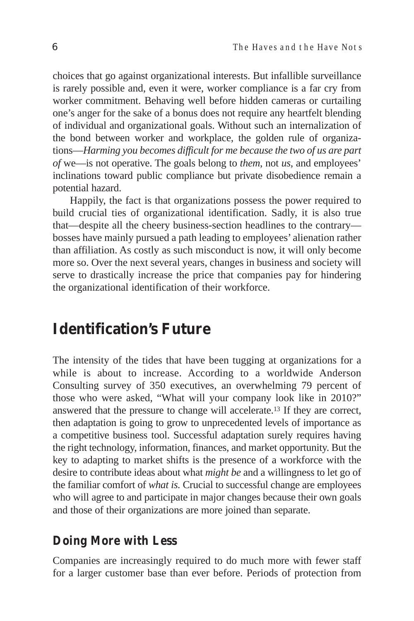choices that go against organizational interests. But infallible surveillance is rarely possible and, even it were, worker compliance is a far cry from worker commitment. Behaving well before hidden cameras or curtailing one's anger for the sake of a bonus does not require any heartfelt blending of individual and organizational goals. Without such an internalization of the bond between worker and workplace, the golden rule of organizations—*Harming you becomes difficult for me because the two of us are part of* we—is not operative. The goals belong to *them*, not *us*, and employees' inclinations toward public compliance but private disobedience remain a potential hazard.

Happily, the fact is that organizations possess the power required to build crucial ties of organizational identification. Sadly, it is also true that—despite all the cheery business-section headlines to the contrary bosses have mainly pursued a path leading to employees' alienation rather than affiliation. As costly as such misconduct is now, it will only become more so. Over the next several years, changes in business and society will serve to drastically increase the price that companies pay for hindering the organizational identification of their workforce.

# **Identification's Future**

The intensity of the tides that have been tugging at organizations for a while is about to increase. According to a worldwide Anderson Consulting survey of 350 executives, an overwhelming 79 percent of those who were asked, "What will your company look like in 2010?" answered that the pressure to change will accelerate.13 If they are correct, then adaptation is going to grow to unprecedented levels of importance as a competitive business tool. Successful adaptation surely requires having the right technology, information, finances, and market opportunity. But the key to adapting to market shifts is the presence of a workforce with the desire to contribute ideas about what *might be* and a willingness to let go of the familiar comfort of *what is.* Crucial to successful change are employees who will agree to and participate in major changes because their own goals and those of their organizations are more joined than separate.

#### *Doing More with Less*

Companies are increasingly required to do much more with fewer staff for a larger customer base than ever before. Periods of protection from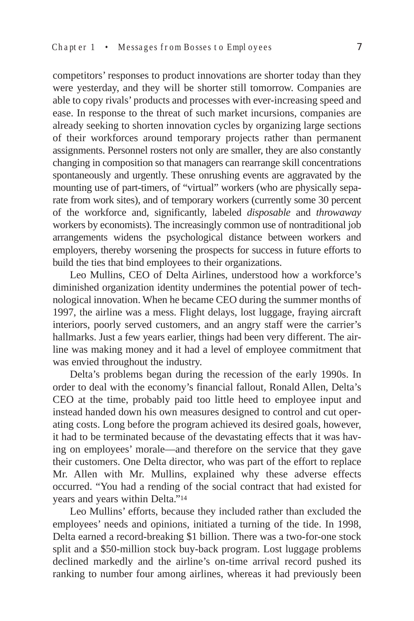competitors' responses to product innovations are shorter today than they were yesterday, and they will be shorter still tomorrow. Companies are able to copy rivals' products and processes with ever-increasing speed and ease. In response to the threat of such market incursions, companies are already seeking to shorten innovation cycles by organizing large sections of their workforces around temporary projects rather than permanent assignments. Personnel rosters not only are smaller, they are also constantly changing in composition so that managers can rearrange skill concentrations spontaneously and urgently. These onrushing events are aggravated by the mounting use of part-timers, of "virtual" workers (who are physically separate from work sites), and of temporary workers (currently some 30 percent of the workforce and, significantly, labeled *disposable* and *throwaway* workers by economists). The increasingly common use of nontraditional job arrangements widens the psychological distance between workers and employers, thereby worsening the prospects for success in future efforts to build the ties that bind employees to their organizations.

Leo Mullins, CEO of Delta Airlines, understood how a workforce's diminished organization identity undermines the potential power of technological innovation. When he became CEO during the summer months of 1997, the airline was a mess. Flight delays, lost luggage, fraying aircraft interiors, poorly served customers, and an angry staff were the carrier's hallmarks. Just a few years earlier, things had been very different. The airline was making money and it had a level of employee commitment that was envied throughout the industry.

Delta's problems began during the recession of the early 1990s. In order to deal with the economy's financial fallout, Ronald Allen, Delta's CEO at the time, probably paid too little heed to employee input and instead handed down his own measures designed to control and cut operating costs. Long before the program achieved its desired goals, however, it had to be terminated because of the devastating effects that it was having on employees' morale—and therefore on the service that they gave their customers. One Delta director, who was part of the effort to replace Mr. Allen with Mr. Mullins, explained why these adverse effects occurred. "You had a rending of the social contract that had existed for years and years within Delta."14

Leo Mullins' efforts, because they included rather than excluded the employees' needs and opinions, initiated a turning of the tide. In 1998, Delta earned a record-breaking \$1 billion. There was a two-for-one stock split and a \$50-million stock buy-back program. Lost luggage problems declined markedly and the airline's on-time arrival record pushed its ranking to number four among airlines, whereas it had previously been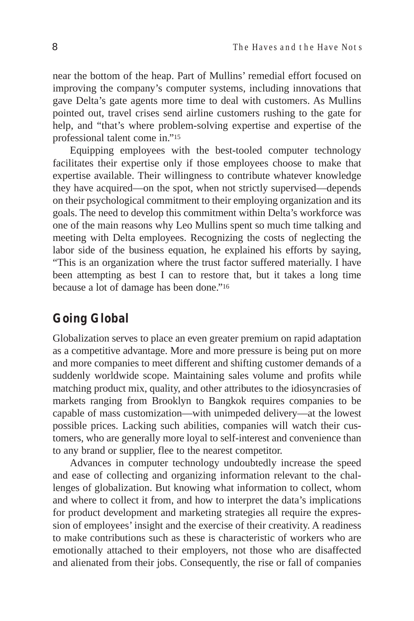near the bottom of the heap. Part of Mullins' remedial effort focused on improving the company's computer systems, including innovations that gave Delta's gate agents more time to deal with customers. As Mullins pointed out, travel crises send airline customers rushing to the gate for help, and "that's where problem-solving expertise and expertise of the professional talent come in."15

Equipping employees with the best-tooled computer technology facilitates their expertise only if those employees choose to make that expertise available. Their willingness to contribute whatever knowledge they have acquired—on the spot, when not strictly supervised—depends on their psychological commitment to their employing organization and its goals. The need to develop this commitment within Delta's workforce was one of the main reasons why Leo Mullins spent so much time talking and meeting with Delta employees. Recognizing the costs of neglecting the labor side of the business equation, he explained his efforts by saying, "This is an organization where the trust factor suffered materially. I have been attempting as best I can to restore that, but it takes a long time because a lot of damage has been done."16

#### *Going Global*

Globalization serves to place an even greater premium on rapid adaptation as a competitive advantage. More and more pressure is being put on more and more companies to meet different and shifting customer demands of a suddenly worldwide scope. Maintaining sales volume and profits while matching product mix, quality, and other attributes to the idiosyncrasies of markets ranging from Brooklyn to Bangkok requires companies to be capable of mass customization—with unimpeded delivery—at the lowest possible prices. Lacking such abilities, companies will watch their customers, who are generally more loyal to self-interest and convenience than to any brand or supplier, flee to the nearest competitor.

Advances in computer technology undoubtedly increase the speed and ease of collecting and organizing information relevant to the challenges of globalization. But knowing what information to collect, whom and where to collect it from, and how to interpret the data's implications for product development and marketing strategies all require the expression of employees' insight and the exercise of their creativity. A readiness to make contributions such as these is characteristic of workers who are emotionally attached to their employers, not those who are disaffected and alienated from their jobs. Consequently, the rise or fall of companies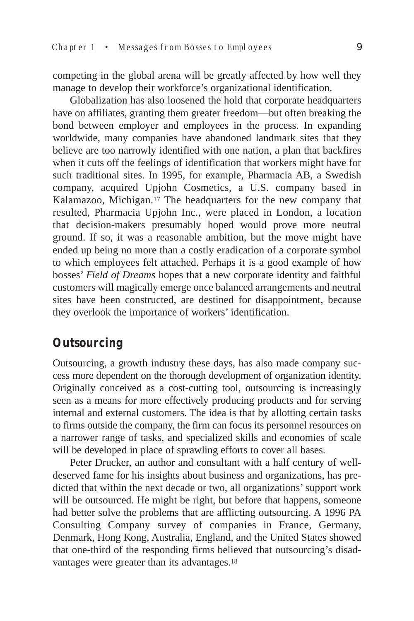competing in the global arena will be greatly affected by how well they manage to develop their workforce's organizational identification.

Globalization has also loosened the hold that corporate headquarters have on affiliates, granting them greater freedom—but often breaking the bond between employer and employees in the process. In expanding worldwide, many companies have abandoned landmark sites that they believe are too narrowly identified with one nation, a plan that backfires when it cuts off the feelings of identification that workers might have for such traditional sites. In 1995, for example, Pharmacia AB, a Swedish company, acquired Upjohn Cosmetics, a U.S. company based in Kalamazoo, Michigan.17 The headquarters for the new company that resulted, Pharmacia Upjohn Inc., were placed in London, a location that decision-makers presumably hoped would prove more neutral ground. If so, it was a reasonable ambition, but the move might have ended up being no more than a costly eradication of a corporate symbol to which employees felt attached. Perhaps it is a good example of how bosses' *Field of Dreams* hopes that a new corporate identity and faithful customers will magically emerge once balanced arrangements and neutral sites have been constructed, are destined for disappointment, because they overlook the importance of workers' identification.

#### *Outsourcing*

Outsourcing, a growth industry these days, has also made company success more dependent on the thorough development of organization identity. Originally conceived as a cost-cutting tool, outsourcing is increasingly seen as a means for more effectively producing products and for serving internal and external customers. The idea is that by allotting certain tasks to firms outside the company, the firm can focus its personnel resources on a narrower range of tasks, and specialized skills and economies of scale will be developed in place of sprawling efforts to cover all bases.

Peter Drucker, an author and consultant with a half century of welldeserved fame for his insights about business and organizations, has predicted that within the next decade or two, all organizations' support work will be outsourced. He might be right, but before that happens, someone had better solve the problems that are afflicting outsourcing. A 1996 PA Consulting Company survey of companies in France, Germany, Denmark, Hong Kong, Australia, England, and the United States showed that one-third of the responding firms believed that outsourcing's disadvantages were greater than its advantages.18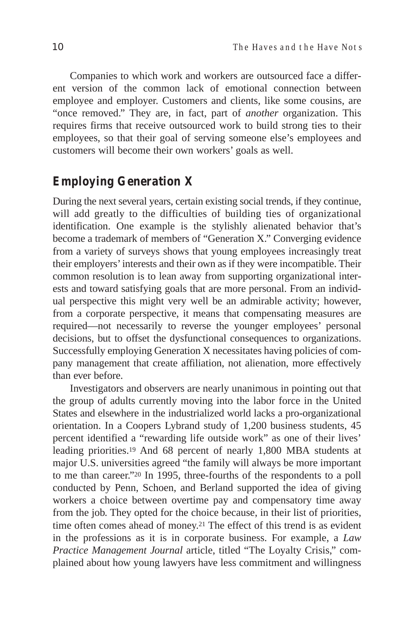Companies to which work and workers are outsourced face a different version of the common lack of emotional connection between employee and employer. Customers and clients, like some cousins, are "once removed." They are, in fact, part of *another* organization. This requires firms that receive outsourced work to build strong ties to their employees, so that their goal of serving someone else's employees and customers will become their own workers' goals as well.

## *Employing Generation X*

During the next several years, certain existing social trends, if they continue, will add greatly to the difficulties of building ties of organizational identification. One example is the stylishly alienated behavior that's become a trademark of members of "Generation X." Converging evidence from a variety of surveys shows that young employees increasingly treat their employers' interests and their own as if they were incompatible. Their common resolution is to lean away from supporting organizational interests and toward satisfying goals that are more personal. From an individual perspective this might very well be an admirable activity; however, from a corporate perspective, it means that compensating measures are required—not necessarily to reverse the younger employees' personal decisions, but to offset the dysfunctional consequences to organizations. Successfully employing Generation X necessitates having policies of company management that create affiliation, not alienation, more effectively than ever before.

Investigators and observers are nearly unanimous in pointing out that the group of adults currently moving into the labor force in the United States and elsewhere in the industrialized world lacks a pro-organizational orientation. In a Coopers Lybrand study of 1,200 business students, 45 percent identified a "rewarding life outside work" as one of their lives' leading priorities.19 And 68 percent of nearly 1,800 MBA students at major U.S. universities agreed "the family will always be more important to me than career."20 In 1995, three-fourths of the respondents to a poll conducted by Penn, Schoen, and Berland supported the idea of giving workers a choice between overtime pay and compensatory time away from the job. They opted for the choice because, in their list of priorities, time often comes ahead of money.21 The effect of this trend is as evident in the professions as it is in corporate business. For example, a *Law Practice Management Journal* article, titled "The Loyalty Crisis," complained about how young lawyers have less commitment and willingness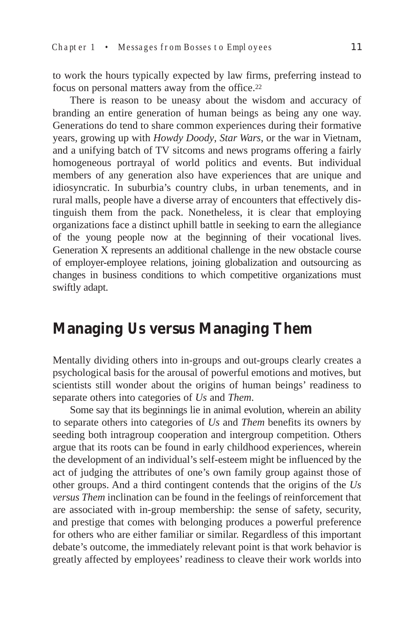to work the hours typically expected by law firms, preferring instead to focus on personal matters away from the office.22

There is reason to be uneasy about the wisdom and accuracy of branding an entire generation of human beings as being any one way. Generations do tend to share common experiences during their formative years, growing up with *Howdy Doody*, *Star Wars*, or the war in Vietnam, and a unifying batch of TV sitcoms and news programs offering a fairly homogeneous portrayal of world politics and events. But individual members of any generation also have experiences that are unique and idiosyncratic. In suburbia's country clubs, in urban tenements, and in rural malls, people have a diverse array of encounters that effectively distinguish them from the pack. Nonetheless, it is clear that employing organizations face a distinct uphill battle in seeking to earn the allegiance of the young people now at the beginning of their vocational lives. Generation X represents an additional challenge in the new obstacle course of employer-employee relations, joining globalization and outsourcing as changes in business conditions to which competitive organizations must swiftly adapt.

## **Managing** *Us* **versus Managing** *Them*

Mentally dividing others into in-groups and out-groups clearly creates a psychological basis for the arousal of powerful emotions and motives, but scientists still wonder about the origins of human beings' readiness to separate others into categories of *Us* and *Them*.

Some say that its beginnings lie in animal evolution, wherein an ability to separate others into categories of *Us* and *Them* benefits its owners by seeding both intragroup cooperation and intergroup competition. Others argue that its roots can be found in early childhood experiences, wherein the development of an individual's self-esteem might be influenced by the act of judging the attributes of one's own family group against those of other groups. And a third contingent contends that the origins of the *Us versus Them* inclination can be found in the feelings of reinforcement that are associated with in-group membership: the sense of safety, security, and prestige that comes with belonging produces a powerful preference for others who are either familiar or similar. Regardless of this important debate's outcome, the immediately relevant point is that work behavior is greatly affected by employees' readiness to cleave their work worlds into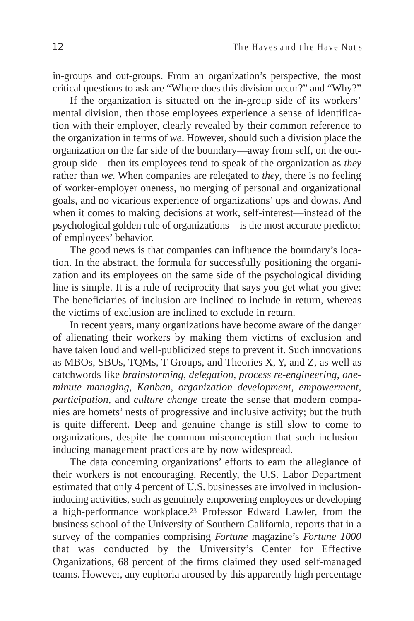in-groups and out-groups. From an organization's perspective, the most critical questions to ask are "Where does this division occur?" and "Why?"

If the organization is situated on the in-group side of its workers' mental division, then those employees experience a sense of identification with their employer, clearly revealed by their common reference to the organization in terms of *we*. However, should such a division place the organization on the far side of the boundary—away from self, on the outgroup side—then its employees tend to speak of the organization as *they* rather than *we.* When companies are relegated to *they*, there is no feeling of worker-employer oneness, no merging of personal and organizational goals, and no vicarious experience of organizations' ups and downs. And when it comes to making decisions at work, self-interest—instead of the psychological golden rule of organizations—is the most accurate predictor of employees' behavior.

The good news is that companies can influence the boundary's location. In the abstract, the formula for successfully positioning the organization and its employees on the same side of the psychological dividing line is simple. It is a rule of reciprocity that says you get what you give: The beneficiaries of inclusion are inclined to include in return, whereas the victims of exclusion are inclined to exclude in return.

In recent years, many organizations have become aware of the danger of alienating their workers by making them victims of exclusion and have taken loud and well-publicized steps to prevent it. Such innovations as MBOs, SBUs, TQMs, T-Groups, and Theories X, Y, and Z, as well as catchwords like *brainstorming*, *delegation*, *process re-engineering*, *oneminute managing*, *Kanban*, *organization development*, *empowerment*, *participation*, and *culture change* create the sense that modern companies are hornets' nests of progressive and inclusive activity; but the truth is quite different. Deep and genuine change is still slow to come to organizations, despite the common misconception that such inclusioninducing management practices are by now widespread.

The data concerning organizations' efforts to earn the allegiance of their workers is not encouraging. Recently, the U.S. Labor Department estimated that only 4 percent of U.S. businesses are involved in inclusioninducing activities, such as genuinely empowering employees or developing a high-performance workplace.23 Professor Edward Lawler, from the business school of the University of Southern California, reports that in a survey of the companies comprising *Fortune* magazine's *Fortune 1000* that was conducted by the University's Center for Effective Organizations, 68 percent of the firms claimed they used self-managed teams. However, any euphoria aroused by this apparently high percentage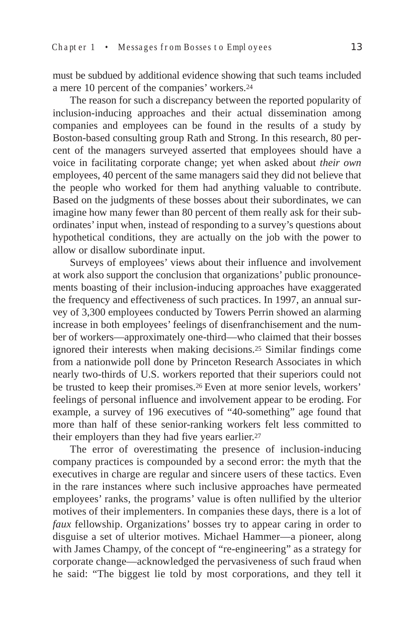must be subdued by additional evidence showing that such teams included a mere 10 percent of the companies' workers.24

The reason for such a discrepancy between the reported popularity of inclusion-inducing approaches and their actual dissemination among companies and employees can be found in the results of a study by Boston-based consulting group Rath and Strong. In this research, 80 percent of the managers surveyed asserted that employees should have a voice in facilitating corporate change; yet when asked about *their own* employees, 40 percent of the same managers said they did not believe that the people who worked for them had anything valuable to contribute. Based on the judgments of these bosses about their subordinates, we can imagine how many fewer than 80 percent of them really ask for their subordinates' input when, instead of responding to a survey's questions about hypothetical conditions, they are actually on the job with the power to allow or disallow subordinate input.

Surveys of employees' views about their influence and involvement at work also support the conclusion that organizations' public pronouncements boasting of their inclusion-inducing approaches have exaggerated the frequency and effectiveness of such practices. In 1997, an annual survey of 3,300 employees conducted by Towers Perrin showed an alarming increase in both employees' feelings of disenfranchisement and the number of workers—approximately one-third—who claimed that their bosses ignored their interests when making decisions.25 Similar findings come from a nationwide poll done by Princeton Research Associates in which nearly two-thirds of U.S. workers reported that their superiors could not be trusted to keep their promises.26 Even at more senior levels, workers' feelings of personal influence and involvement appear to be eroding. For example, a survey of 196 executives of "40-something" age found that more than half of these senior-ranking workers felt less committed to their employers than they had five years earlier.27

The error of overestimating the presence of inclusion-inducing company practices is compounded by a second error: the myth that the executives in charge are regular and sincere users of these tactics. Even in the rare instances where such inclusive approaches have permeated employees' ranks, the programs' value is often nullified by the ulterior motives of their implementers. In companies these days, there is a lot of *faux* fellowship. Organizations' bosses try to appear caring in order to disguise a set of ulterior motives. Michael Hammer—a pioneer, along with James Champy, of the concept of "re-engineering" as a strategy for corporate change—acknowledged the pervasiveness of such fraud when he said: "The biggest lie told by most corporations, and they tell it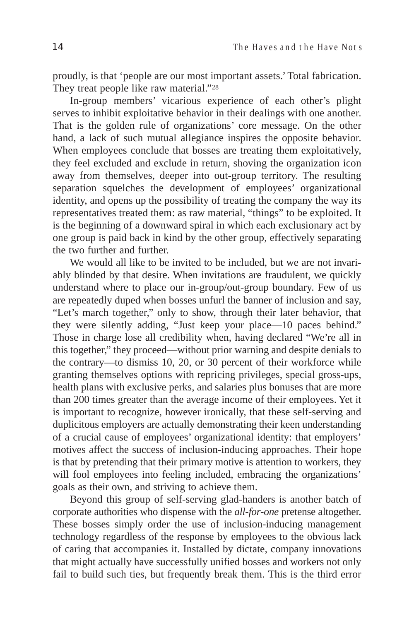proudly, is that 'people are our most important assets.' Total fabrication. They treat people like raw material."28

In-group members' vicarious experience of each other's plight serves to inhibit exploitative behavior in their dealings with one another. That is the golden rule of organizations' core message. On the other hand, a lack of such mutual allegiance inspires the opposite behavior. When employees conclude that bosses are treating them exploitatively, they feel excluded and exclude in return, shoving the organization icon away from themselves, deeper into out-group territory. The resulting separation squelches the development of employees' organizational identity, and opens up the possibility of treating the company the way its representatives treated them: as raw material, "things" to be exploited. It is the beginning of a downward spiral in which each exclusionary act by one group is paid back in kind by the other group, effectively separating the two further and further.

We would all like to be invited to be included, but we are not invariably blinded by that desire. When invitations are fraudulent, we quickly understand where to place our in-group/out-group boundary. Few of us are repeatedly duped when bosses unfurl the banner of inclusion and say, "Let's march together," only to show, through their later behavior, that they were silently adding, "Just keep your place—10 paces behind." Those in charge lose all credibility when, having declared "We're all in this together," they proceed—without prior warning and despite denials to the contrary—to dismiss 10, 20, or 30 percent of their workforce while granting themselves options with repricing privileges, special gross-ups, health plans with exclusive perks, and salaries plus bonuses that are more than 200 times greater than the average income of their employees. Yet it is important to recognize, however ironically, that these self-serving and duplicitous employers are actually demonstrating their keen understanding of a crucial cause of employees' organizational identity: that employers' motives affect the success of inclusion-inducing approaches. Their hope is that by pretending that their primary motive is attention to workers, they will fool employees into feeling included, embracing the organizations' goals as their own, and striving to achieve them.

Beyond this group of self-serving glad-handers is another batch of corporate authorities who dispense with the *all-for-one* pretense altogether. These bosses simply order the use of inclusion-inducing management technology regardless of the response by employees to the obvious lack of caring that accompanies it. Installed by dictate, company innovations that might actually have successfully unified bosses and workers not only fail to build such ties, but frequently break them. This is the third error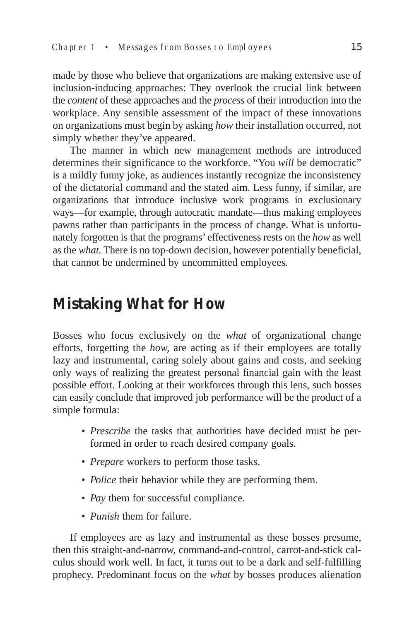made by those who believe that organizations are making extensive use of inclusion-inducing approaches: They overlook the crucial link between the *content* of these approaches and the *process* of their introduction into the workplace. Any sensible assessment of the impact of these innovations on organizations must begin by asking *how* their installation occurred, not simply whether they've appeared.

The manner in which new management methods are introduced determines their significance to the workforce. "You *will* be democratic" is a mildly funny joke, as audiences instantly recognize the inconsistency of the dictatorial command and the stated aim. Less funny, if similar, are organizations that introduce inclusive work programs in exclusionary ways—for example, through autocratic mandate—thus making employees pawns rather than participants in the process of change. What is unfortunately forgotten is that the programs' effectiveness rests on the *how* as well as the *what.* There is no top-down decision, however potentially beneficial, that cannot be undermined by uncommitted employees.

# **Mistaking** *What* **for** *How*

Bosses who focus exclusively on the *what* of organizational change efforts, forgetting the *how,* are acting as if their employees are totally lazy and instrumental, caring solely about gains and costs, and seeking only ways of realizing the greatest personal financial gain with the least possible effort. Looking at their workforces through this lens, such bosses can easily conclude that improved job performance will be the product of a simple formula:

- *Prescribe* the tasks that authorities have decided must be performed in order to reach desired company goals.
- *Prepare* workers to perform those tasks.
- *Police* their behavior while they are performing them.
- *Pay* them for successful compliance.
- *Punish* them for failure.

If employees are as lazy and instrumental as these bosses presume, then this straight-and-narrow, command-and-control, carrot-and-stick calculus should work well. In fact, it turns out to be a dark and self-fulfilling prophecy. Predominant focus on the *what* by bosses produces alienation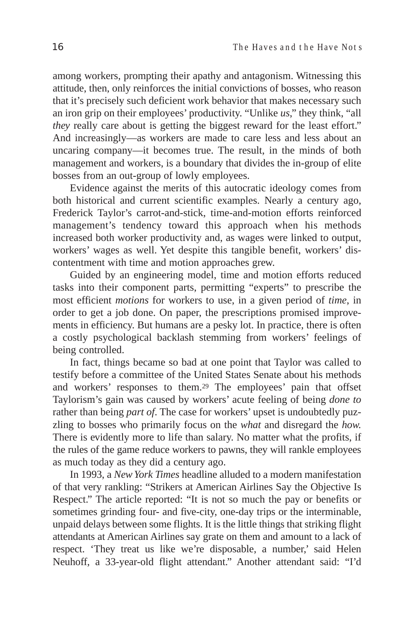among workers, prompting their apathy and antagonism. Witnessing this attitude, then, only reinforces the initial convictions of bosses, who reason that it's precisely such deficient work behavior that makes necessary such an iron grip on their employees' productivity. "Unlike *us*," they think, "all *they* really care about is getting the biggest reward for the least effort." And increasingly—as workers are made to care less and less about an uncaring company—it becomes true. The result, in the minds of both management and workers, is a boundary that divides the in-group of elite bosses from an out-group of lowly employees.

Evidence against the merits of this autocratic ideology comes from both historical and current scientific examples. Nearly a century ago, Frederick Taylor's carrot-and-stick, time-and-motion efforts reinforced management's tendency toward this approach when his methods increased both worker productivity and, as wages were linked to output, workers' wages as well. Yet despite this tangible benefit, workers' discontentment with time and motion approaches grew.

Guided by an engineering model, time and motion efforts reduced tasks into their component parts, permitting "experts" to prescribe the most efficient *motions* for workers to use, in a given period of *time*, in order to get a job done. On paper, the prescriptions promised improvements in efficiency. But humans are a pesky lot. In practice, there is often a costly psychological backlash stemming from workers' feelings of being controlled.

In fact, things became so bad at one point that Taylor was called to testify before a committee of the United States Senate about his methods and workers' responses to them.29 The employees' pain that offset Taylorism's gain was caused by workers' acute feeling of being *done to* rather than being *part of*. The case for workers' upset is undoubtedly puzzling to bosses who primarily focus on the *what* and disregard the *how.* There is evidently more to life than salary. No matter what the profits, if the rules of the game reduce workers to pawns, they will rankle employees as much today as they did a century ago.

In 1993, a *New York Times* headline alluded to a modern manifestation of that very rankling: "Strikers at American Airlines Say the Objective Is Respect." The article reported: "It is not so much the pay or benefits or sometimes grinding four- and five-city, one-day trips or the interminable, unpaid delays between some flights. It is the little things that striking flight attendants at American Airlines say grate on them and amount to a lack of respect. 'They treat us like we're disposable, a number,' said Helen Neuhoff, a 33-year-old flight attendant." Another attendant said: "I'd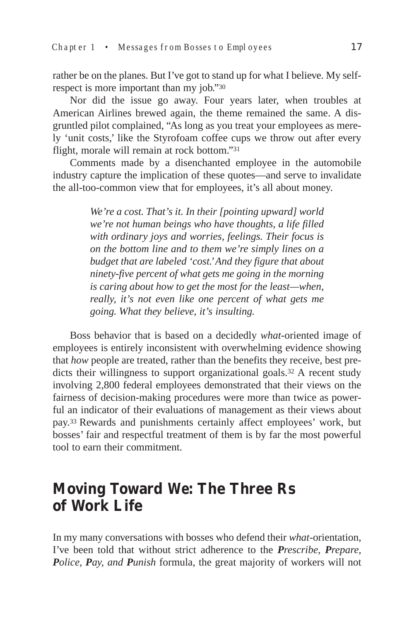rather be on the planes. But I've got to stand up for what I believe. My selfrespect is more important than my job."30

Nor did the issue go away. Four years later, when troubles at American Airlines brewed again, the theme remained the same. A disgruntled pilot complained, "As long as you treat your employees as merely 'unit costs,' like the Styrofoam coffee cups we throw out after every flight, morale will remain at rock bottom."31

Comments made by a disenchanted employee in the automobile industry capture the implication of these quotes—and serve to invalidate the all-too-common view that for employees, it's all about money.

> *We're a cost. That's it. In their [pointing upward] world we're not human beings who have thoughts, a life filled with ordinary joys and worries, feelings. Their focus is on the bottom line and to them we're simply lines on a budget that are labeled 'cost.'And they figure that about ninety-five percent of what gets me going in the morning is caring about how to get the most for the least—when, really, it's not even like one percent of what gets me going. What they believe, it's insulting.*

Boss behavior that is based on a decidedly *what*-oriented image of employees is entirely inconsistent with overwhelming evidence showing that *how* people are treated, rather than the benefits they receive, best predicts their willingness to support organizational goals.32 A recent study involving 2,800 federal employees demonstrated that their views on the fairness of decision-making procedures were more than twice as powerful an indicator of their evaluations of management as their views about pay.33 Rewards and punishments certainly affect employees' work, but bosses' fair and respectful treatment of them is by far the most powerful tool to earn their commitment.

# **Moving Toward** *We***: The Three Rs of Work Life**

In my many conversations with bosses who defend their *what-*orientation, I've been told that without strict adherence to the *Prescribe, Prepare, Police, Pay, and Punish* formula, the great majority of workers will not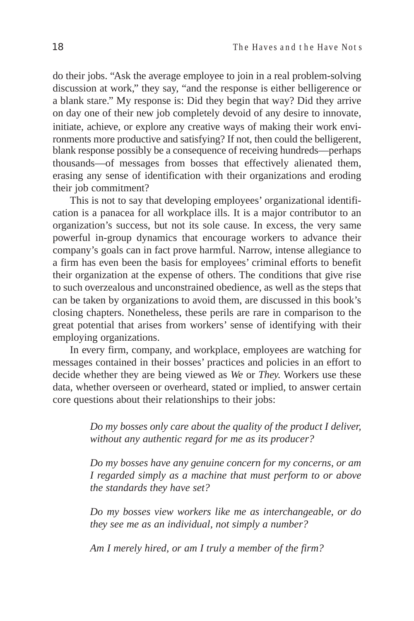do their jobs. "Ask the average employee to join in a real problem-solving discussion at work," they say, "and the response is either belligerence or a blank stare." My response is: Did they begin that way? Did they arrive on day one of their new job completely devoid of any desire to innovate, initiate, achieve, or explore any creative ways of making their work environments more productive and satisfying? If not, then could the belligerent, blank response possibly be a consequence of receiving hundreds—perhaps thousands—of messages from bosses that effectively alienated them, erasing any sense of identification with their organizations and eroding their job commitment?

This is not to say that developing employees' organizational identification is a panacea for all workplace ills. It is a major contributor to an organization's success, but not its sole cause. In excess, the very same powerful in-group dynamics that encourage workers to advance their company's goals can in fact prove harmful. Narrow, intense allegiance to a firm has even been the basis for employees' criminal efforts to benefit their organization at the expense of others. The conditions that give rise to such overzealous and unconstrained obedience, as well as the steps that can be taken by organizations to avoid them, are discussed in this book's closing chapters. Nonetheless, these perils are rare in comparison to the great potential that arises from workers' sense of identifying with their employing organizations.

In every firm, company, and workplace, employees are watching for messages contained in their bosses' practices and policies in an effort to decide whether they are being viewed as *We* or *They.* Workers use these data, whether overseen or overheard, stated or implied, to answer certain core questions about their relationships to their jobs:

> *Do my bosses only care about the quality of the product I deliver, without any authentic regard for me as its producer?*

> *Do my bosses have any genuine concern for my concerns, or am I regarded simply as a machine that must perform to or above the standards they have set?*

> *Do my bosses view workers like me as interchangeable, or do they see me as an individual, not simply a number?*

*Am I merely hired, or am I truly a member of the firm?*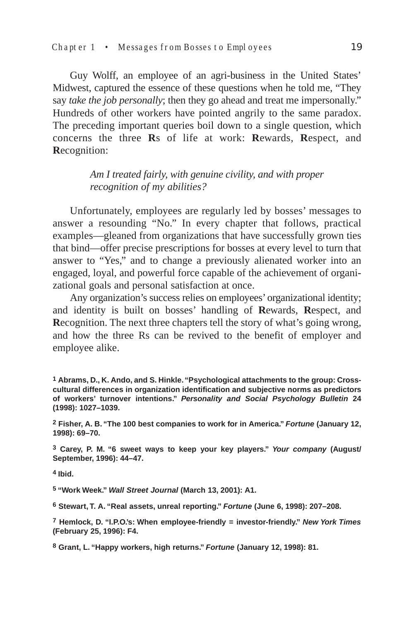#### Chapter 1 • Messages from Bosses to Employees 19

Guy Wolff, an employee of an agri-business in the United States' Midwest, captured the essence of these questions when he told me, "They say *take the job personally*; then they go ahead and treat me impersonally." Hundreds of other workers have pointed angrily to the same paradox. The preceding important queries boil down to a single question, which concerns the three **R**s of life at work: **R**ewards, **R**espect, and **R**ecognition:

> *Am I treated fairly, with genuine civility, and with proper recognition of my abilities?*

Unfortunately, employees are regularly led by bosses' messages to answer a resounding "No." In every chapter that follows, practical examples—gleaned from organizations that have successfully grown ties that bind—offer precise prescriptions for bosses at every level to turn that answer to "Yes," and to change a previously alienated worker into an engaged, loyal, and powerful force capable of the achievement of organizational goals and personal satisfaction at once.

Any organization's success relies on employees' organizational identity; and identity is built on bosses' handling of **R**ewards, **R**espect, and **R**ecognition. The next three chapters tell the story of what's going wrong, and how the three Rs can be revived to the benefit of employer and employee alike.

**2 Fisher, A. B. "The 100 best companies to work for in America." Fortune (January 12, 1998): 69–70.**

**3 Carey, P. M. "6 sweet ways to keep your key players." Your company (August/ September, 1996): 44–47.**

**4 Ibid.**

**5 "Work Week." Wall Street Journal (March 13, 2001): A1.**

**6 Stewart, T. A. "Real assets, unreal reporting." Fortune (June 6, 1998): 207–208.**

**7 Hemlock, D. "I.P.O.'s: When employee-friendly = investor-friendly." New York Times (February 25, 1996): F4.**

**8 Grant, L. "Happy workers, high returns." Fortune (January 12, 1998): 81.**

**<sup>1</sup> Abrams, D., K. Ando, and S. Hinkle."Psychological attachments to the group: Crosscultural differences in organization identification and subjective norms as predictors of workers' turnover intentions." Personality and Social Psychology Bulletin 24 (1998): 1027–1039.**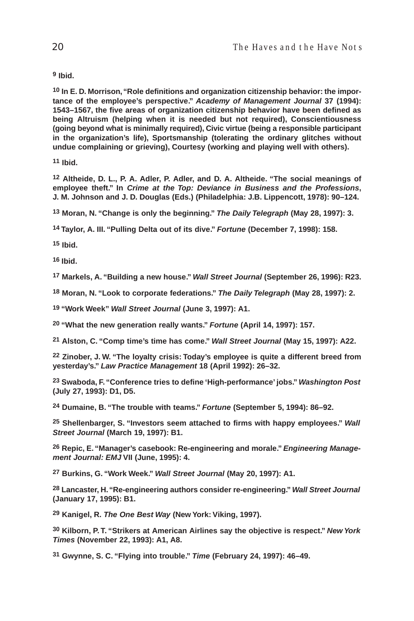**Ibid.**

 **In E. D. Morrison,"Role definitions and organization citizenship behavior: the importance of the employee's perspective." Academy of Management Journal 37 (1994): 1543–1567, the five areas of organization citizenship behavior have been defined as being Altruism (helping when it is needed but not required), Conscientiousness (going beyond what is minimally required), Civic virtue (being a responsible participant in the organization's life), Sportsmanship (tolerating the ordinary glitches without undue complaining or grieving), Courtesy (working and playing well with others).**

**Ibid.**

 **Altheide, D. L., P. A. Adler, P. Adler, and D. A. Altheide. "The social meanings of employee theft." In Crime at the Top: Deviance in Business and the Professions, J. M. Johnson and J. D. Douglas (Eds.) (Philadelphia: J.B. Lippencott, 1978): 90–124.**

**Moran, N. "Change is only the beginning." The Daily Telegraph (May 28, 1997): 3.**

**Taylor, A. III. "Pulling Delta out of its dive." Fortune (December 7, 1998): 158.**

**Ibid.**

**16 Ibid.**

**Markels, A. "Building a new house." Wall Street Journal (September 26, 1996): R23.**

**Moran, N. "Look to corporate federations." The Daily Telegraph (May 28, 1997): 2.**

**"Work Week" Wall Street Journal (June 3, 1997): A1.**

**"What the new generation really wants." Fortune (April 14, 1997): 157.**

**Alston, C. "Comp time's time has come." Wall Street Journal (May 15, 1997): A22.**

 **Zinober, J. W. "The loyalty crisis: Today's employee is quite a different breed from yesterday's." Law Practice Management 18 (April 1992): 26–32.**

 **Swaboda, F."Conference tries to define 'High-performance' jobs." Washington Post (July 27, 1993): D1, D5.**

**Dumaine, B. "The trouble with teams." Fortune (September 5, 1994): 86–92.**

 **Shellenbarger, S. "Investors seem attached to firms with happy employees." Wall Street Journal (March 19, 1997): B1.**

 **Repic, E. "Manager's casebook: Re-engineering and morale." Engineering Management Journal: EMJ VII (June, 1995): 4.**

**Burkins, G. "Work Week." Wall Street Journal (May 20, 1997): A1.**

 **Lancaster, H."Re-engineering authors consider re-engineering." Wall Street Journal (January 17, 1995): B1.**

**Kanigel, R. The One Best Way (New York: Viking, 1997).**

 **Kilborn, P. T. "Strikers at American Airlines say the objective is respect." New York Times (November 22, 1993): A1, A8.**

**Gwynne, S. C. "Flying into trouble." Time (February 24, 1997): 46–49.**